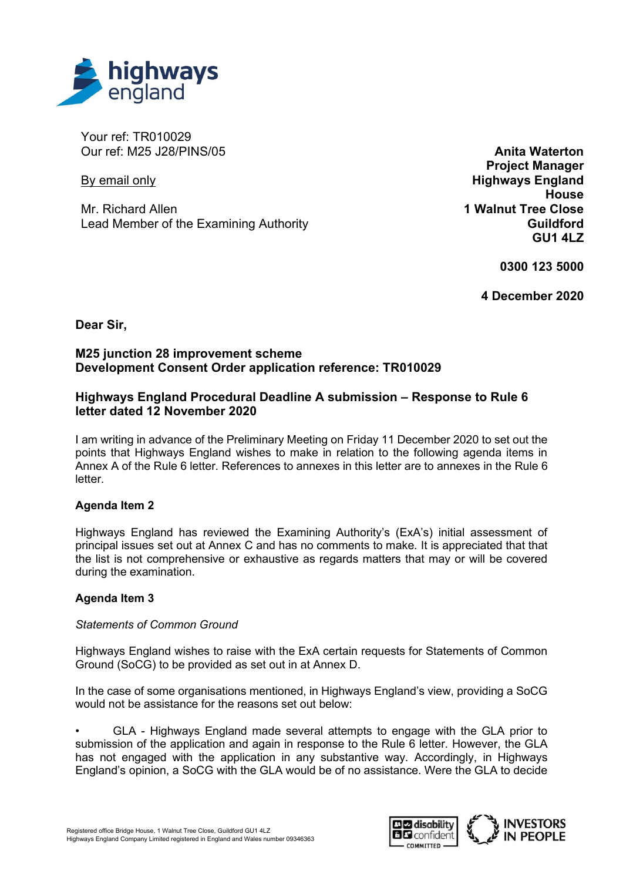

Your ref: TR010029 Our ref: M25 J28/PINS/05

By email only

Mr. Richard Allen Lead Member of the Examining Authority

**Anita Waterton Project Manager Highways England House 1 Walnut Tree Close Guildford GU1 4LZ**

**0300 123 5000**

**4 December 2020**

**Dear Sir,**

## **M25 junction 28 improvement scheme Development Consent Order application reference: TR010029**

# **Highways England Procedural Deadline A submission – Response to Rule 6 letter dated 12 November 2020**

I am writing in advance of the Preliminary Meeting on Friday 11 December 2020 to set out the points that Highways England wishes to make in relation to the following agenda items in Annex A of the Rule 6 letter. References to annexes in this letter are to annexes in the Rule 6 letter.

### **Agenda Item 2**

Highways England has reviewed the Examining Authority's (ExA's) initial assessment of principal issues set out at Annex C and has no comments to make. It is appreciated that that the list is not comprehensive or exhaustive as regards matters that may or will be covered during the examination.

### **Agenda Item 3**

### *Statements of Common Ground*

Highways England wishes to raise with the ExA certain requests for Statements of Common Ground (SoCG) to be provided as set out in at Annex D.

In the case of some organisations mentioned, in Highways England's view, providing a SoCG would not be assistance for the reasons set out below:

• GLA - Highways England made several attempts to engage with the GLA prior to submission of the application and again in response to the Rule 6 letter. However, the GLA has not engaged with the application in any substantive way. Accordingly, in Highways England's opinion, a SoCG with the GLA would be of no assistance. Were the GLA to decide

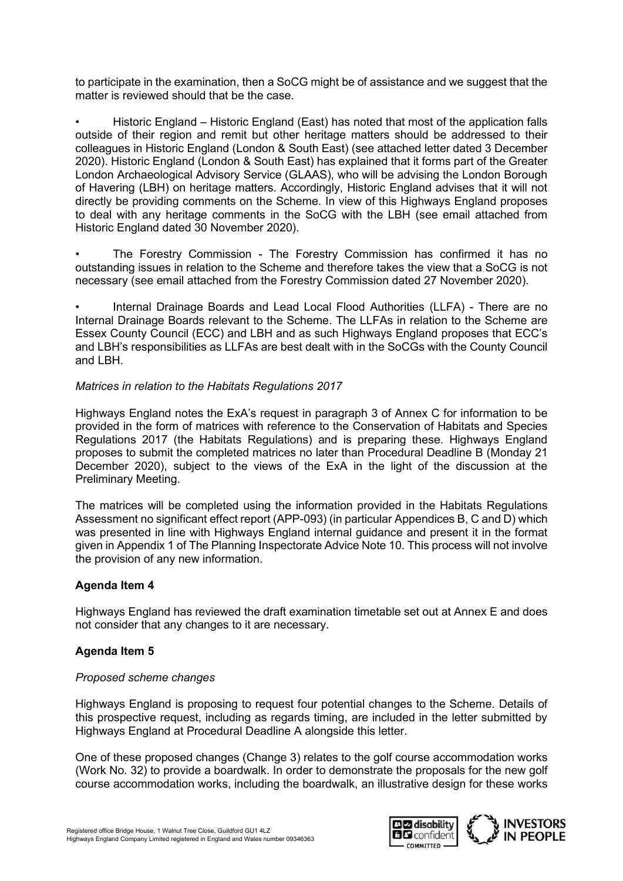to participate in the examination, then a SoCG might be of assistance and we suggest that the matter is reviewed should that be the case.

• Historic England – Historic England (East) has noted that most of the application falls outside of their region and remit but other heritage matters should be addressed to their colleagues in Historic England (London & South East) (see attached letter dated 3 December 2020). Historic England (London & South East) has explained that it forms part of the Greater London Archaeological Advisory Service (GLAAS), who will be advising the London Borough of Havering (LBH) on heritage matters. Accordingly, Historic England advises that it will not directly be providing comments on the Scheme. In view of this Highways England proposes to deal with any heritage comments in the SoCG with the LBH (see email attached from Historic England dated 30 November 2020).

The Forestry Commission - The Forestry Commission has confirmed it has no outstanding issues in relation to the Scheme and therefore takes the view that a SoCG is not necessary (see email attached from the Forestry Commission dated 27 November 2020).

• Internal Drainage Boards and Lead Local Flood Authorities (LLFA) - There are no Internal Drainage Boards relevant to the Scheme. The LLFAs in relation to the Scheme are Essex County Council (ECC) and LBH and as such Highways England proposes that ECC's and LBH's responsibilities as LLFAs are best dealt with in the SoCGs with the County Council and LBH.

### *Matrices in relation to the Habitats Regulations 2017*

Highways England notes the ExA's request in paragraph 3 of Annex C for information to be provided in the form of matrices with reference to the Conservation of Habitats and Species Regulations 2017 (the Habitats Regulations) and is preparing these. Highways England proposes to submit the completed matrices no later than Procedural Deadline B (Monday 21 December 2020), subject to the views of the ExA in the light of the discussion at the Preliminary Meeting.

The matrices will be completed using the information provided in the Habitats Regulations Assessment no significant effect report (APP-093) (in particular Appendices B, C and D) which was presented in line with Highways England internal guidance and present it in the format given in Appendix 1 of The Planning Inspectorate Advice Note 10. This process will not involve the provision of any new information.

# **Agenda Item 4**

Highways England has reviewed the draft examination timetable set out at Annex E and does not consider that any changes to it are necessary.

# **Agenda Item 5**

### *Proposed scheme changes*

Highways England is proposing to request four potential changes to the Scheme. Details of this prospective request, including as regards timing, are included in the letter submitted by Highways England at Procedural Deadline A alongside this letter.

One of these proposed changes (Change 3) relates to the golf course accommodation works (Work No. 32) to provide a boardwalk. In order to demonstrate the proposals for the new golf course accommodation works, including the boardwalk, an illustrative design for these works

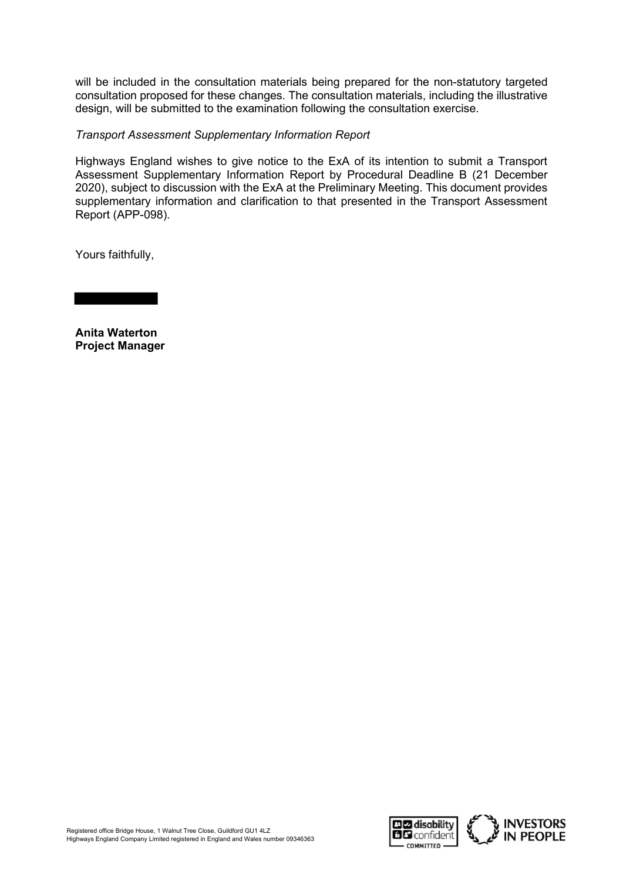will be included in the consultation materials being prepared for the non-statutory targeted consultation proposed for these changes. The consultation materials, including the illustrative design, will be submitted to the examination following the consultation exercise.

### *Transport Assessment Supplementary Information Report*

Highways England wishes to give notice to the ExA of its intention to submit a Transport Assessment Supplementary Information Report by Procedural Deadline B (21 December 2020), subject to discussion with the ExA at the Preliminary Meeting. This document provides supplementary information and clarification to that presented in the Transport Assessment Report (APP-098).

Yours faithfully,

**Anita Waterton Project Manager**

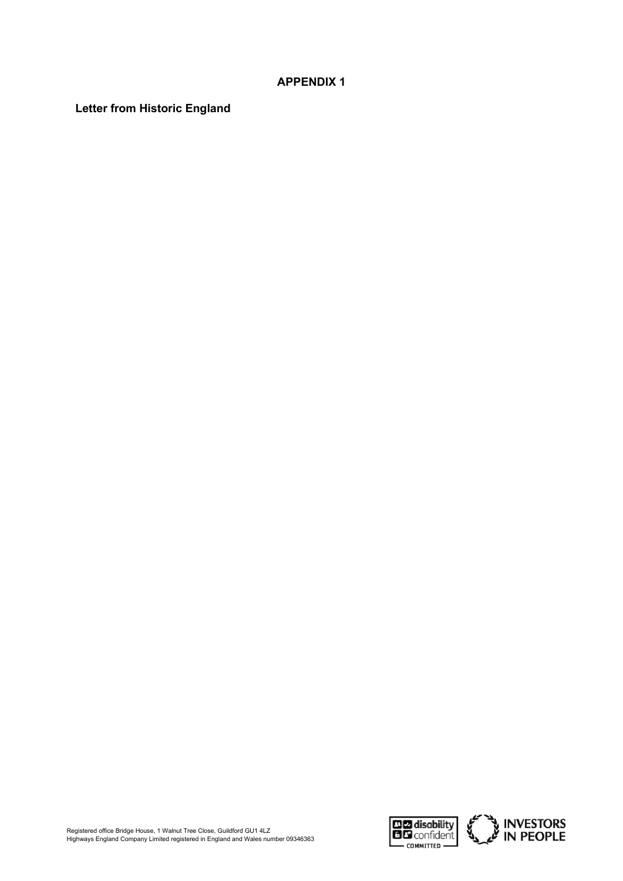## **APPENDIX 1**

**Letter from Historic England**

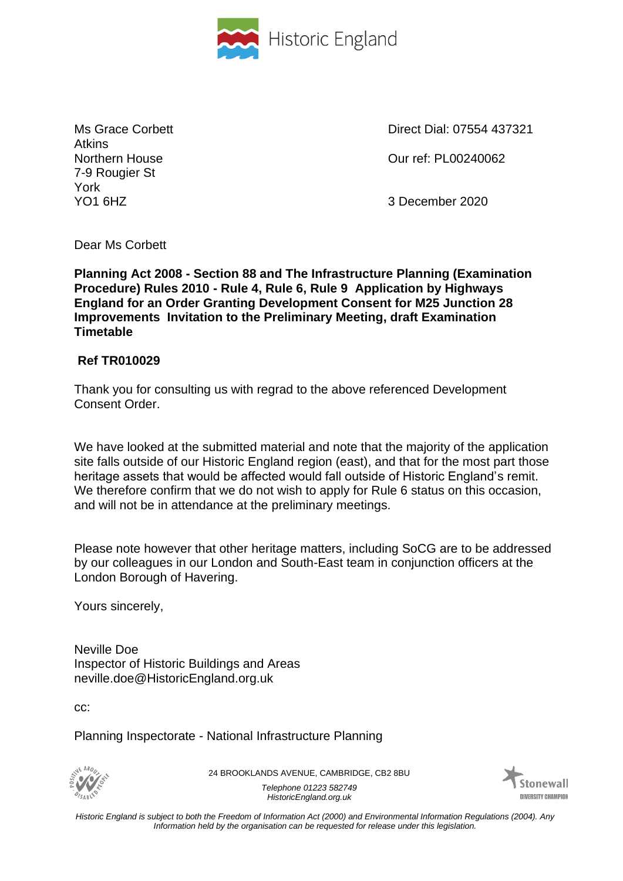

Atkins 7-9 Rougier St York YO1 6HZ 3 December 2020

Ms Grace Corbett **Direct Dial: 07554 437321** 

Northern House Our ref: PL00240062

Dear Ms Corbett

**Planning Act 2008 - Section 88 and The Infrastructure Planning (Examination Procedure) Rules 2010 - Rule 4, Rule 6, Rule 9 Application by Highways England for an Order Granting Development Consent for M25 Junction 28 Improvements Invitation to the Preliminary Meeting, draft Examination Timetable**

# **Ref TR010029**

Thank you for consulting us with regrad to the above referenced Development Consent Order.

We have looked at the submitted material and note that the majority of the application site falls outside of our Historic England region (east), and that for the most part those heritage assets that would be affected would fall outside of Historic England's remit. We therefore confirm that we do not wish to apply for Rule 6 status on this occasion, and will not be in attendance at the preliminary meetings.

Please note however that other heritage matters, including SoCG are to be addressed by our colleagues in our London and South-East team in conjunction officers at the London Borough of Havering.

Yours sincerely,

Neville Doe Inspector of Historic Buildings and Areas neville.doe@HistoricEngland.org.uk

cc:

Planning Inspectorate - National Infrastructure Planning

'SARI

24 BROOKLANDS AVENUE, CAMBRIDGE, CB2 8BU *Telephone 01223 582749 HistoricEngland.org.uk*



*Historic England is subject to both the Freedom of Information Act (2000) and Environmental Information Regulations (2004). Any Information held by the organisation can be requested for release under this legislation.*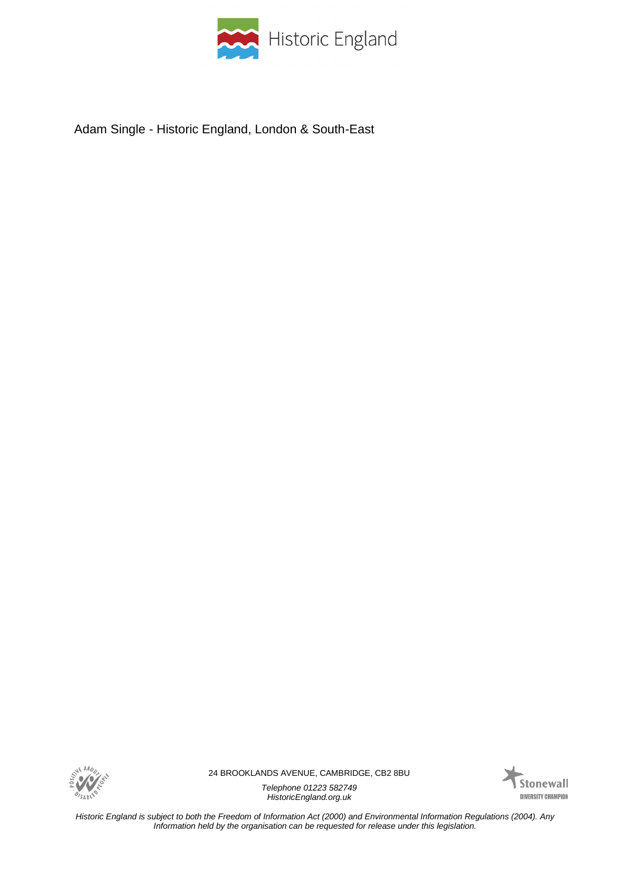

Adam Single - Historic England, London & South-East



24 BROOKLANDS AVENUE, CAMBRIDGE, CB2 8BU

*Telephone 01223 582749 HistoricEngland.org.uk*



*Historic England is subject to both the Freedom of Information Act (2000) and Environmental Information Regulations (2004). Any Information held by the organisation can be requested for release under this legislation.*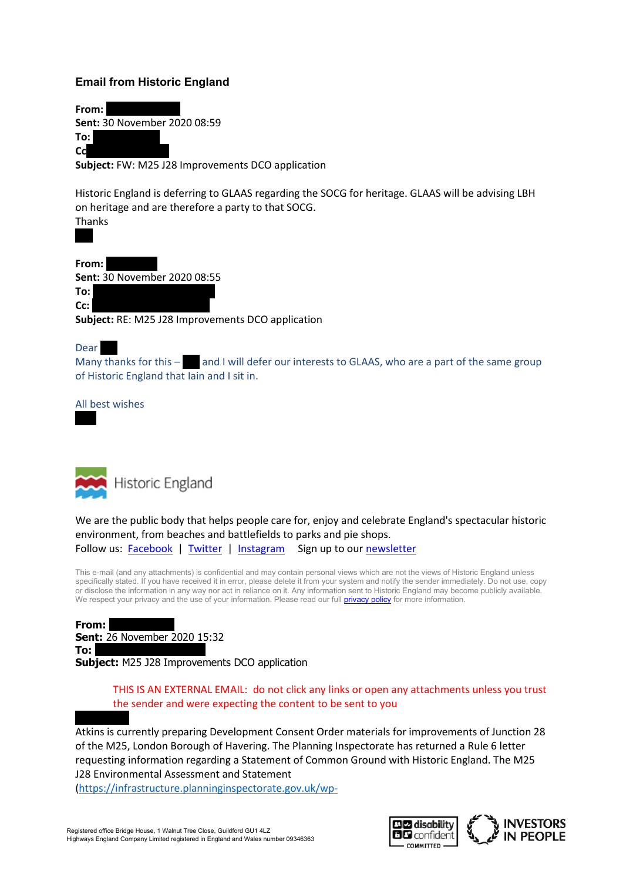### **Email from Historic England**

From: **Sent:** 30 November 2020 08:59 To: Cc<sup>1</sup>

**Subject:** FW: M25 J28 Improvements DCO application

Historic England is deferring to GLAAS regarding the SOCG for heritage. GLAAS will be advising LBH on heritage and are therefore a party to that SOCG. Thanks

From: **Sent:** 30 November 2020 08:55

**To:** Neustadt, Kae Bright, Iain

**Cc:** Single, Sandy Sandy Sandy Sandy Sandy Sandy Sandy Sandy Sandy Sandy Sandy Sandy Sandy Sandy Sandy Sandy Sandy Sandy Sandy Sandy Sandy Sandy Sandy Sandy Sandy Sandy Sandy Sandy Sandy Sandy Sandy Sandy Sandy Sandy Sand

**Subject:** RE: M25 J28 Improvements DCO application

#### Dear

Many thanks for this  $-$  and I will defer our interests to GLAAS, who are a part of the same group of Historic England that Iain and I sit in.

All best wishes



We are the public body that helps people care for, enjoy and celebrate England's spectacular historic environment, from beaches and battlefields to parks and pie shops. Follow us: [Facebook](https://urldefense.com/v3/__https:/www.facebook.com/HistoricEngland__;!!OepYZ6Q!vaE469dL6kpFJm9FpnBry21B95uw2EuY-rAzXafl-rWAy4LNUa9DFx_5tmWciaNj029zxdU$) | [Twitter](https://urldefense.com/v3/__https:/twitter.com/HistoricEngland__;!!OepYZ6Q!vaE469dL6kpFJm9FpnBry21B95uw2EuY-rAzXafl-rWAy4LNUa9DFx_5tmWciaNjkst-1hs$) | [Instagram](https://urldefense.com/v3/__https:/www.instagram.com/historicengland/__;!!OepYZ6Q!vaE469dL6kpFJm9FpnBry21B95uw2EuY-rAzXafl-rWAy4LNUa9DFx_5tmWciaNjRtlWGZo$) Sign up to our newsletter

This e-mail (and any attachments) is confidential and may contain personal views which are not the views of Historic England unless specifically stated. If you have received it in error, please delete it from your system and notify the sender immediately. Do not use, copy or disclose the information in any way nor act in reliance on it. Any information sent to Historic England may become publicly available. We respect your privacy and the use of your information. Please read our full **privacy policy** for more information.

**From: Sent:** 26 November 2020 15:32 To: **Subject:** M25 J28 Improvements DCO application

> THIS IS AN EXTERNAL EMAIL: do not click any links or open any attachments unless you trust the sender and were expecting the content to be sent to you

Atkins is currently preparing Development Consent Order materials for improvements of Junction 28 of the M25, London Borough of Havering. The Planning Inspectorate has returned a Rule 6 letter requesting information regarding a Statement of Common Ground with Historic England. The M25 J28 Environmental Assessment and Statement

[\(https://infrastructure.planninginspectorate.gov.uk/wp-](https://urldefense.com/v3/__https:/infrastructure.planninginspectorate.gov.uk/wp-content/ipc/uploads/projects/TR010029/TR010029-000168-TR010029_M25_j28_6.1_Environmental_Statement_Chapter_11_Cultural_heritage.pdf__;!!OepYZ6Q!vaE469dL6kpFJm9FpnBry21B95uw2EuY-rAzXafl-rWAy4LNUa9DFx_5tmWciaNj7YQfaqM$)

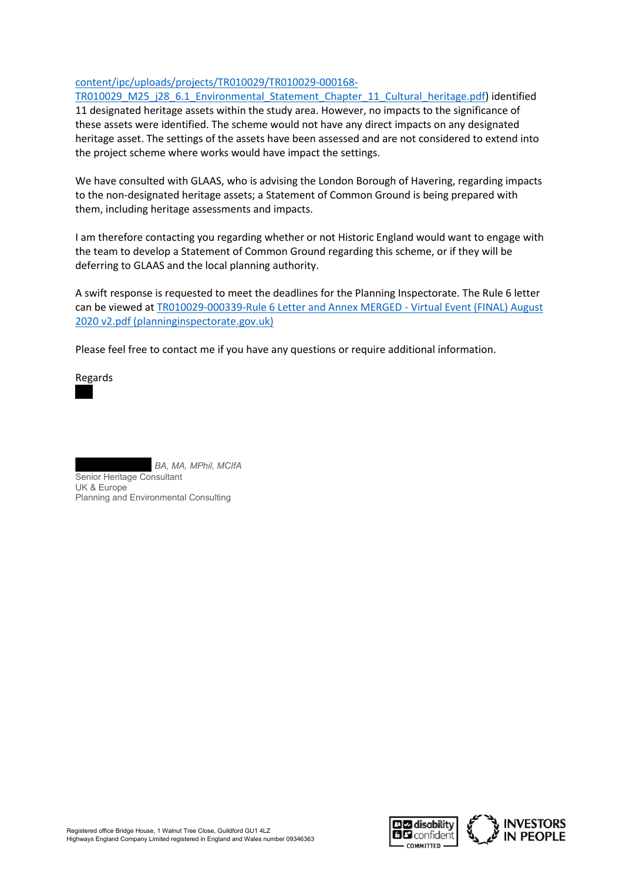#### [content/ipc/uploads/projects/TR010029/TR010029-000168-](https://urldefense.com/v3/__https:/infrastructure.planninginspectorate.gov.uk/wp-content/ipc/uploads/projects/TR010029/TR010029-000168-TR010029_M25_j28_6.1_Environmental_Statement_Chapter_11_Cultural_heritage.pdf__;!!OepYZ6Q!vaE469dL6kpFJm9FpnBry21B95uw2EuY-rAzXafl-rWAy4LNUa9DFx_5tmWciaNj7YQfaqM$)

[TR010029\\_M25\\_j28\\_6.1\\_Environmental\\_Statement\\_Chapter\\_11\\_Cultural\\_heritage.pdf\)](https://urldefense.com/v3/__https:/infrastructure.planninginspectorate.gov.uk/wp-content/ipc/uploads/projects/TR010029/TR010029-000168-TR010029_M25_j28_6.1_Environmental_Statement_Chapter_11_Cultural_heritage.pdf__;!!OepYZ6Q!vaE469dL6kpFJm9FpnBry21B95uw2EuY-rAzXafl-rWAy4LNUa9DFx_5tmWciaNj7YQfaqM$) identified 11 designated heritage assets within the study area. However, no impacts to the significance of these assets were identified. The scheme would not have any direct impacts on any designated heritage asset. The settings of the assets have been assessed and are not considered to extend into the project scheme where works would have impact the settings.

We have consulted with GLAAS, who is advising the London Borough of Havering, regarding impacts to the non-designated heritage assets; a Statement of Common Ground is being prepared with them, including heritage assessments and impacts.

I am therefore contacting you regarding whether or not Historic England would want to engage with the team to develop a Statement of Common Ground regarding this scheme, or if they will be deferring to GLAAS and the local planning authority.

A swift response is requested to meet the deadlines for the Planning Inspectorate. The Rule 6 letter can be viewed at [TR010029-000339-Rule 6 Letter and Annex MERGED -](https://urldefense.com/v3/__https:/infrastructure.planninginspectorate.gov.uk/wp-content/ipc/uploads/projects/TR010029/TR010029-000339-Rule*206*20Letter*20and*20Annex*20MERGED*20-*20Virtual*20Event*20(FINAL)*20August*202020*20v2.pdf__;JSUlJSUlJSUlJSUl!!OepYZ6Q!vaE469dL6kpFJm9FpnBry21B95uw2EuY-rAzXafl-rWAy4LNUa9DFx_5tmWciaNjIkrBYRo$) Virtual Event (FINAL) August [2020 v2.pdf \(planninginspectorate.gov.uk\)](https://urldefense.com/v3/__https:/infrastructure.planninginspectorate.gov.uk/wp-content/ipc/uploads/projects/TR010029/TR010029-000339-Rule*206*20Letter*20and*20Annex*20MERGED*20-*20Virtual*20Event*20(FINAL)*20August*202020*20v2.pdf__;JSUlJSUlJSUlJSUl!!OepYZ6Q!vaE469dL6kpFJm9FpnBry21B95uw2EuY-rAzXafl-rWAy4LNUa9DFx_5tmWciaNjIkrBYRo$)

Please feel free to contact me if you have any questions or require additional information.

Regards



BA, MA, MPhil, MCIfA

Senior Heritage Consultant UK & Europe Planning and Environmental Consulting

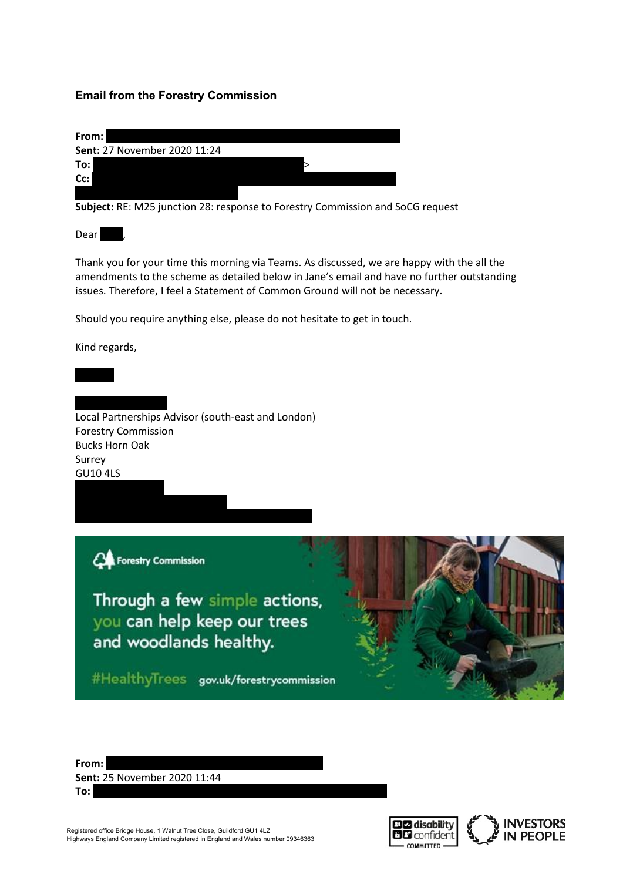### **Email from the Forestry Commission**

| From:                        |  |
|------------------------------|--|
| Sent: 27 November 2020 11:24 |  |
| To:                          |  |
| Cc:                          |  |
|                              |  |

**Subject:** RE: M25 junction 28: response to Forestry Commission and SoCG request

Dear

Thank you for your time this morning via Teams. As discussed, we are happy with the all the amendments to the scheme as detailed below in Jane's email and have no further outstanding issues. Therefore, I feel a Statement of Common Ground will not be necessary.

Should you require anything else, please do not hesitate to get in touch.

Kind regards,

Local Partnerships Advisor (south-east and London) Forestry Commission Bucks Horn Oak Surrey GU10 4LS

Concestry Commission

Through a few simple actions, you can help keep our trees and woodlands healthy.

#HealthyTrees gov.uk/forestrycommission



**From:** Rieger  $\mathbb{R}$ **Sent:** 25 November 2020 11:44 **To:** Google